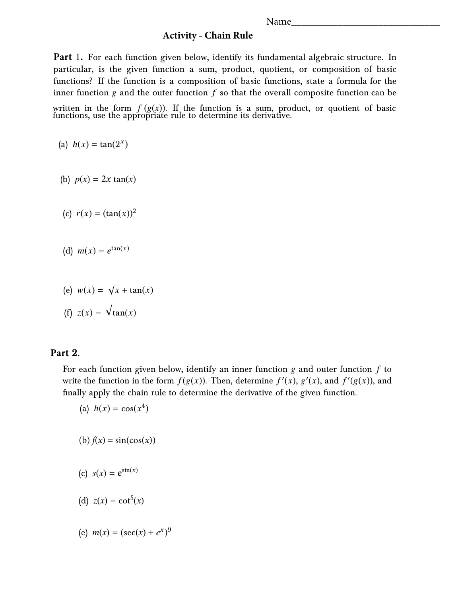Name

## **Activity - Chain Rule**

**Part** 1. For each function given below, identify its fundamental algebraic structure. In particular, is the given function a sum, product, quotient, or composition of basic functions? If the function is a composition of basic functions, state a formula for the inner function  $g$  and the outer function  $f$  so that the overall composite function can be

written in the form  $f(g(x))$ . If the function is a sum, product, or quotient of basic functions, use the appropriate rule to determine its derivative.

(a)  $h(x) = \tan(2^{x})$ 

(b)  $p(x) = 2x \tan(x)$ 

- (c)  $r(x) = (\tan(x))^2$
- (d)  $m(x) = e^{\tan(x)}$
- (e)  $w(x) = \sqrt{x} + \tan(x)$ (f)  $z(x) = \sqrt{\tan(x)}$

## **Part 2.**

For each function given below, identify an inner function g and outer function *f* to write the function in the form  $f(g(x))$ . Then, determine  $f'(x)$ ,  $g'(x)$ , and  $f'(g(x))$ , and finally apply the chain rule to determine the derivative of the given function.

(a) 
$$
h(x) = \cos(x^4)
$$

$$
(b) f(x) = \sin(\cos(x))
$$

$$
(c) s(x) = e^{\sin(x)}
$$

(d) 
$$
z(x) = \cot^5(x)
$$

(e)  $m(x) = (\sec(x) + e^x)^9$